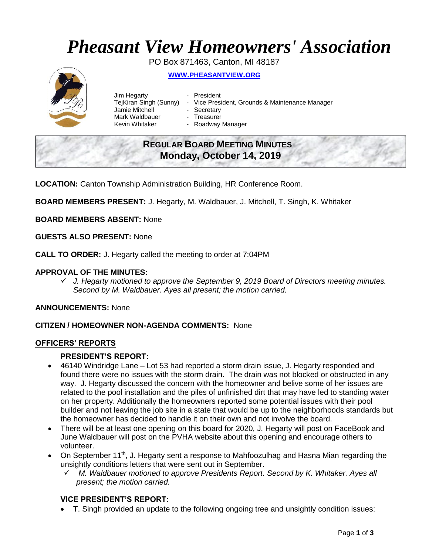# *Pheasant View Homeowners' Association*

PO Box 871463, Canton, MI 48187

# **WWW.[PHEASANTVIEW](http://www.pheasantview.org/).ORG**



- Jim Hegarty  **President** TejKiran Singh (Sunny) - Vice President, Grounds & Maintenance Manager Jamie Mitchell - Secretary Mark Waldbauer **- Treasurer<br>Kevin Whitaker - Roadway** 
	- Roadway Manager

# **REGULAR BOARD MEETING MINUTES Monday, October 14, 2019**

**LOCATION:** Canton Township Administration Building, HR Conference Room.

**BOARD MEMBERS PRESENT:** J. Hegarty, M. Waldbauer, J. Mitchell, T. Singh, K. Whitaker

**BOARD MEMBERS ABSENT:** None

**GUESTS ALSO PRESENT:** None

**CALL TO ORDER:** J. Hegarty called the meeting to order at 7:04PM

#### **APPROVAL OF THE MINUTES:**

✓ *J. Hegarty motioned to approve the September 9, 2019 Board of Directors meeting minutes. Second by M. Waldbauer. Ayes all present; the motion carried.*

**ANNOUNCEMENTS:** None

#### **CITIZEN / HOMEOWNER NON-AGENDA COMMENTS:** None

#### **OFFICERS' REPORTS**

#### **PRESIDENT'S REPORT:**

- 46140 Windridge Lane Lot 53 had reported a storm drain issue, J. Hegarty responded and found there were no issues with the storm drain. The drain was not blocked or obstructed in any way. J. Hegarty discussed the concern with the homeowner and belive some of her issues are related to the pool installation and the piles of unfinished dirt that may have led to standing water on her property. Additionally the homeowners reported some potential issues with their pool builder and not leaving the job site in a state that would be up to the neighborhoods standards but the homeowner has decided to handle it on their own and not involve the board.
- There will be at least one opening on this board for 2020, J. Hegarty will post on FaceBook and June Waldbauer will post on the PVHA website about this opening and encourage others to volunteer.
- On September 11<sup>th</sup>, J. Hegarty sent a response to Mahfoozulhag and Hasna Mian regarding the unsightly conditions letters that were sent out in September.
	- ✓ *M. Waldbauer motioned to approve Presidents Report. Second by K. Whitaker. Ayes all present; the motion carried.*

### **VICE PRESIDENT'S REPORT:**

• T. Singh provided an update to the following ongoing tree and unsightly condition issues: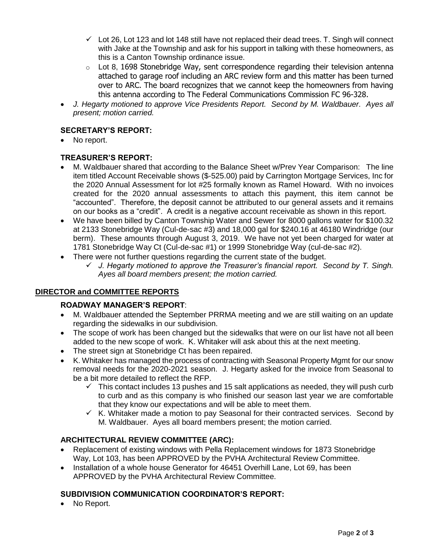- $\checkmark$  Lot 26, Lot 123 and lot 148 still have not replaced their dead trees. T. Singh will connect with Jake at the Township and ask for his support in talking with these homeowners, as this is a Canton Township ordinance issue.
- $\circ$  Lot 8, 1698 Stonebridge Way, sent correspondence regarding their television antenna attached to garage roof including an ARC review form and this matter has been turned over to ARC. The board recognizes that we cannot keep the homeowners from having this antenna according to The Federal Communications Commission FC 96-328.
- *J. Hegarty motioned to approve Vice Presidents Report. Second by M. Waldbauer. Ayes all present; motion carried.*

# **SECRETARY'S REPORT:**

• No report.

# **TREASURER'S REPORT:**

- M. Waldbauer shared that according to the Balance Sheet w/Prev Year Comparison: The line item titled Account Receivable shows (\$-525.00) paid by Carrington Mortgage Services, Inc for the 2020 Annual Assessment for lot #25 formally known as Ramel Howard. With no invoices created for the 2020 annual assessments to attach this payment, this item cannot be "accounted". Therefore, the deposit cannot be attributed to our general assets and it remains on our books as a "credit". A credit is a negative account receivable as shown in this report.
- We have been billed by Canton Township Water and Sewer for 8000 gallons water for \$100.32 at 2133 Stonebridge Way (Cul-de-sac #3) and 18,000 gal for \$240.16 at 46180 Windridge (our berm). These amounts through August 3, 2019. We have not yet been charged for water at 1781 Stonebridge Way Ct (Cul-de-sac #1) or 1999 Stonebridge Way (cul-de-sac #2).
- There were not further questions regarding the current state of the budget.
	- ✓ *J. Hegarty motioned to approve the Treasurer's financial report. Second by T. Singh. Ayes all board members present; the motion carried.*

### **DIRECTOR and COMMITTEE REPORTS**

### **ROADWAY MANAGER'S REPORT**:

- M. Waldbauer attended the September PRRMA meeting and we are still waiting on an update regarding the sidewalks in our subdivision.
- The scope of work has been changed but the sidewalks that were on our list have not all been added to the new scope of work. K. Whitaker will ask about this at the next meeting.
- The street sign at Stonebridge Ct has been repaired.
- K. Whitaker has managed the process of contracting with Seasonal Property Mgmt for our snow removal needs for the 2020-2021 season. J. Hegarty asked for the invoice from Seasonal to be a bit more detailed to reflect the RFP.
	- $\checkmark$  This contact includes 13 pushes and 15 salt applications as needed, they will push curb to curb and as this company is who finished our season last year we are comfortable that they know our expectations and will be able to meet them.
	- $\checkmark$  K. Whitaker made a motion to pay Seasonal for their contracted services. Second by M. Waldbauer. Ayes all board members present; the motion carried.

### **ARCHITECTURAL REVIEW COMMITTEE (ARC):**

- Replacement of existing windows with Pella Replacement windows for 1873 Stonebridge Way, Lot 103, has been APPROVED by the PVHA Architectural Review Committee.
- Installation of a whole house Generator for 46451 Overhill Lane, Lot 69, has been APPROVED by the PVHA Architectural Review Committee.

### **SUBDIVISION COMMUNICATION COORDINATOR'S REPORT:**

No Report.